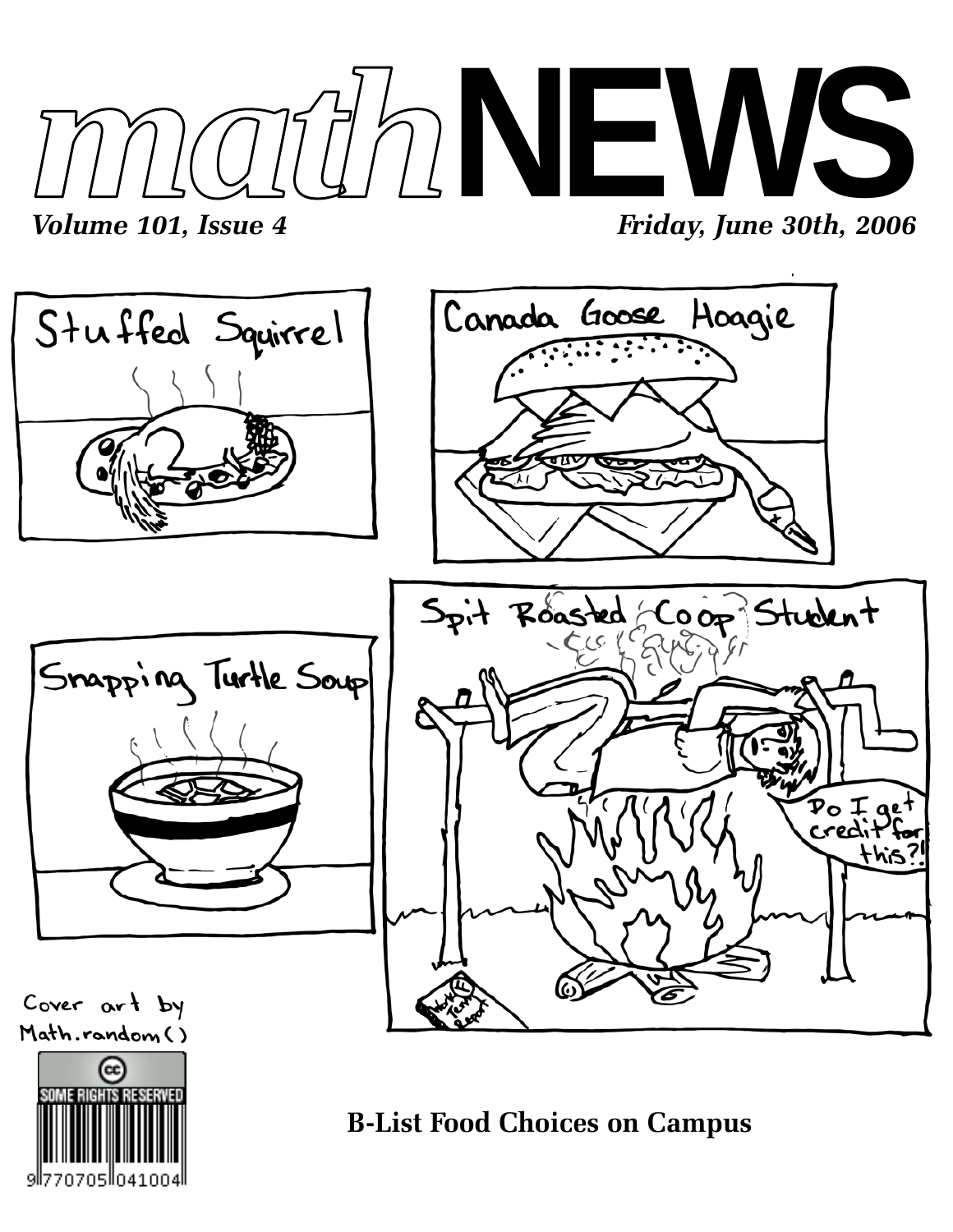





**B-List Food Choices on Campus**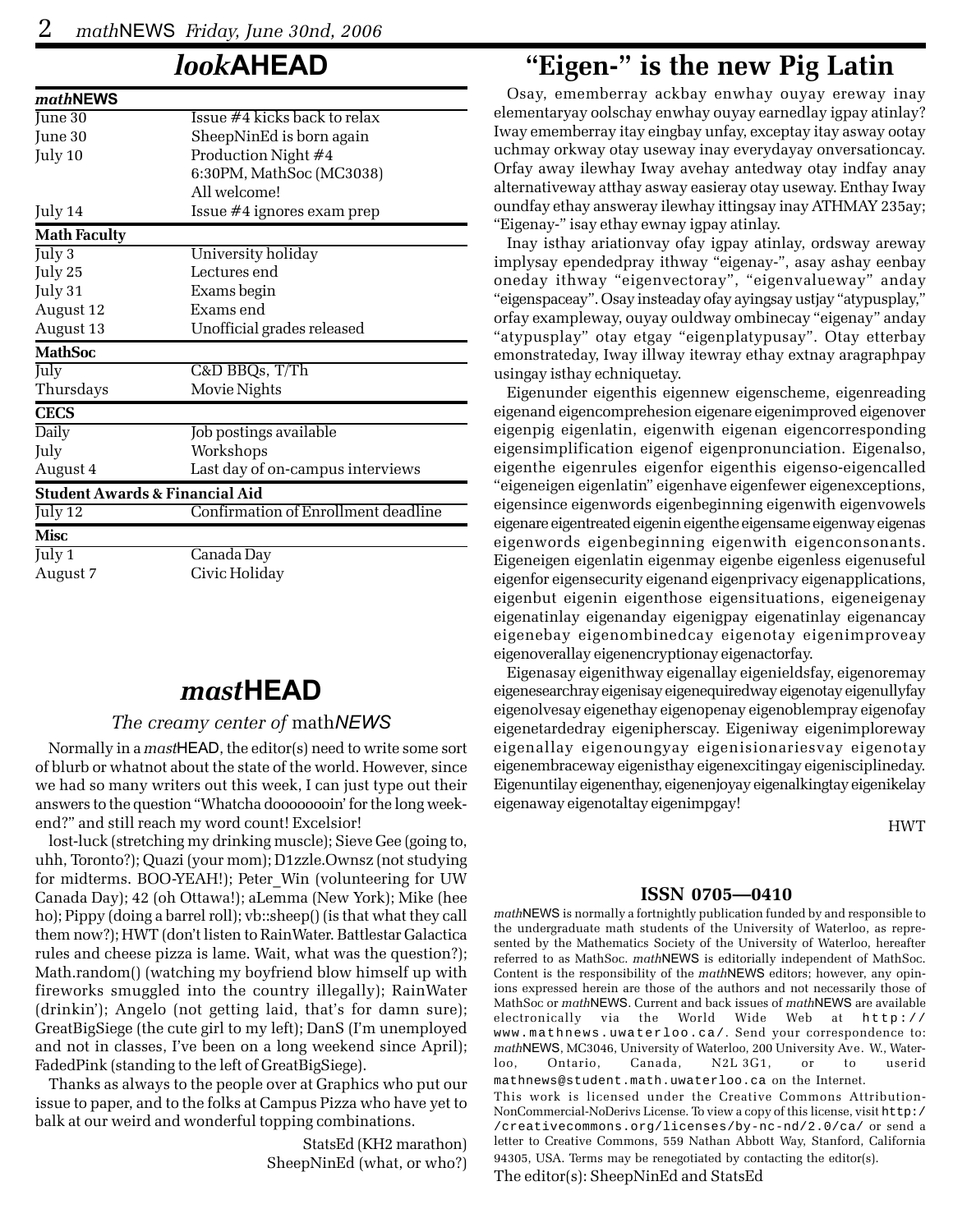### *look***AHEAD**

| mathNEWS                                  |                                     |  |  |  |  |  |  |  |
|-------------------------------------------|-------------------------------------|--|--|--|--|--|--|--|
| June 30                                   | Issue #4 kicks back to relax        |  |  |  |  |  |  |  |
| June 30                                   | SheepNinEd is born again            |  |  |  |  |  |  |  |
| July 10                                   | Production Night #4                 |  |  |  |  |  |  |  |
|                                           | 6:30PM, MathSoc (MC3038)            |  |  |  |  |  |  |  |
|                                           | All welcome!                        |  |  |  |  |  |  |  |
| July 14                                   | Issue #4 ignores exam prep          |  |  |  |  |  |  |  |
| <b>Math Faculty</b>                       |                                     |  |  |  |  |  |  |  |
| July $3$                                  | University holiday                  |  |  |  |  |  |  |  |
| July 25                                   | Lectures end                        |  |  |  |  |  |  |  |
| July 31                                   | Exams begin                         |  |  |  |  |  |  |  |
| August 12                                 | Exams end                           |  |  |  |  |  |  |  |
| August 13                                 | Unofficial grades released          |  |  |  |  |  |  |  |
| <b>MathSoc</b>                            |                                     |  |  |  |  |  |  |  |
| July                                      | C&D BBQs, T/Th                      |  |  |  |  |  |  |  |
| Thursdays                                 | Movie Nights                        |  |  |  |  |  |  |  |
| <b>CECS</b>                               |                                     |  |  |  |  |  |  |  |
| Daily                                     | Job postings available              |  |  |  |  |  |  |  |
| July                                      | Workshops                           |  |  |  |  |  |  |  |
| August 4                                  | Last day of on-campus interviews    |  |  |  |  |  |  |  |
| <b>Student Awards &amp; Financial Aid</b> |                                     |  |  |  |  |  |  |  |
| July 12                                   | Confirmation of Enrollment deadline |  |  |  |  |  |  |  |
|                                           |                                     |  |  |  |  |  |  |  |
| <b>Misc</b>                               |                                     |  |  |  |  |  |  |  |
| July 1                                    | Canada Day                          |  |  |  |  |  |  |  |

### *mast***HEAD**

#### *The creamy center of* math*NEWS*

Normally in a *mast*HEAD, the editor(s) need to write some sort of blurb or whatnot about the state of the world. However, since we had so many writers out this week, I can just type out their answers to the question "Whatcha doooooooin' for the long weekend?" and still reach my word count! Excelsior!

lost-luck (stretching my drinking muscle); Sieve Gee (going to, uhh, Toronto?); Quazi (your mom); D1zzle.Ownsz (not studying for midterms. BOO-YEAH!); Peter\_Win (volunteering for UW Canada Day); 42 (oh Ottawa!); aLemma (New York); Mike (hee ho); Pippy (doing a barrel roll); vb::sheep() (is that what they call them now?); HWT (don't listen to RainWater. Battlestar Galactica rules and cheese pizza is lame. Wait, what was the question?); Math.random() (watching my boyfriend blow himself up with fireworks smuggled into the country illegally); RainWater (drinkin'); Angelo (not getting laid, that's for damn sure); GreatBigSiege (the cute girl to my left); DanS (I'm unemployed and not in classes, I've been on a long weekend since April); FadedPink (standing to the left of GreatBigSiege).

Thanks as always to the people over at Graphics who put our issue to paper, and to the folks at Campus Pizza who have yet to balk at our weird and wonderful topping combinations.

> StatsEd (KH2 marathon) SheepNinEd (what, or who?)

# **"Eigen-" is the new Pig Latin**

Osay, ememberray ackbay enwhay ouyay ereway inay elementaryay oolschay enwhay ouyay earnedlay igpay atinlay? Iway ememberray itay eingbay unfay, exceptay itay asway ootay uchmay orkway otay useway inay everydayay onversationcay. Orfay away ilewhay Iway avehay antedway otay indfay anay alternativeway atthay asway easieray otay useway. Enthay Iway oundfay ethay answeray ilewhay ittingsay inay ATHMAY 235ay; "Eigenay-" isay ethay ewnay igpay atinlay.

Inay isthay ariationvay ofay igpay atinlay, ordsway areway implysay ependedpray ithway "eigenay-", asay ashay eenbay oneday ithway "eigenvectoray", "eigenvalueway" anday "eigenspaceay". Osay insteaday ofay ayingsay ustjay "atypusplay," orfay exampleway, ouyay ouldway ombinecay "eigenay" anday "atypusplay" otay etgay "eigenplatypusay". Otay etterbay emonstrateday, Iway illway itewray ethay extnay aragraphpay usingay isthay echniquetay.

Eigenunder eigenthis eigennew eigenscheme, eigenreading eigenand eigencomprehesion eigenare eigenimproved eigenover eigenpig eigenlatin, eigenwith eigenan eigencorresponding eigensimplification eigenof eigenpronunciation. Eigenalso, eigenthe eigenrules eigenfor eigenthis eigenso-eigencalled "eigeneigen eigenlatin" eigenhave eigenfewer eigenexceptions, eigensince eigenwords eigenbeginning eigenwith eigenvowels eigenare eigentreated eigenin eigenthe eigensame eigenway eigenas eigenwords eigenbeginning eigenwith eigenconsonants. Eigeneigen eigenlatin eigenmay eigenbe eigenless eigenuseful eigenfor eigensecurity eigenand eigenprivacy eigenapplications, eigenbut eigenin eigenthose eigensituations, eigeneigenay eigenatinlay eigenanday eigenigpay eigenatinlay eigenancay eigenebay eigenombinedcay eigenotay eigenimproveay eigenoverallay eigenencryptionay eigenactorfay.

Eigenasay eigenithway eigenallay eigenieldsfay, eigenoremay eigenesearchray eigenisay eigenequiredway eigenotay eigenullyfay eigenolvesay eigenethay eigenopenay eigenoblempray eigenofay eigenetardedray eigenipherscay. Eigeniway eigenimploreway eigenallay eigenoungyay eigenisionariesvay eigenotay eigenembraceway eigenisthay eigenexcitingay eigenisciplineday. Eigenuntilay eigenenthay, eigenenjoyay eigenalkingtay eigenikelay eigenaway eigenotaltay eigenimpgay!

HWT

#### **ISSN 0705—0410**

*math*NEWS is normally a fortnightly publication funded by and responsible to the undergraduate math students of the University of Waterloo, as represented by the Mathematics Society of the University of Waterloo, hereafter referred to as MathSoc. *math*NEWS is editorially independent of MathSoc. Content is the responsibility of the *math*NEWS editors; however, any opinions expressed herein are those of the authors and not necessarily those of MathSoc or *math*NEWS. Current and back issues of *math*NEWS are available electronically via the World Wide Web at http:// www.mathnews.uwaterloo.ca/. Send your correspondence to: *math*NEWS, MC3046, University of Waterloo, 200 University Ave. W., Waterloo, Ontario, Canada, N2L 3G1, or to userid mathnews@student.math.uwaterloo.ca on the Internet. This work is licensed under the Creative Commons Attribution-NonCommercial-NoDerivs License. To view a copy of this license, visit http:/ /creativecommons.org/licenses/by-nc-nd/2.0/ca/ or send a letter to Creative Commons, 559 Nathan Abbott Way, Stanford, California 94305, USA. Terms may be renegotiated by contacting the editor(s).

The editor(s): SheepNinEd and StatsEd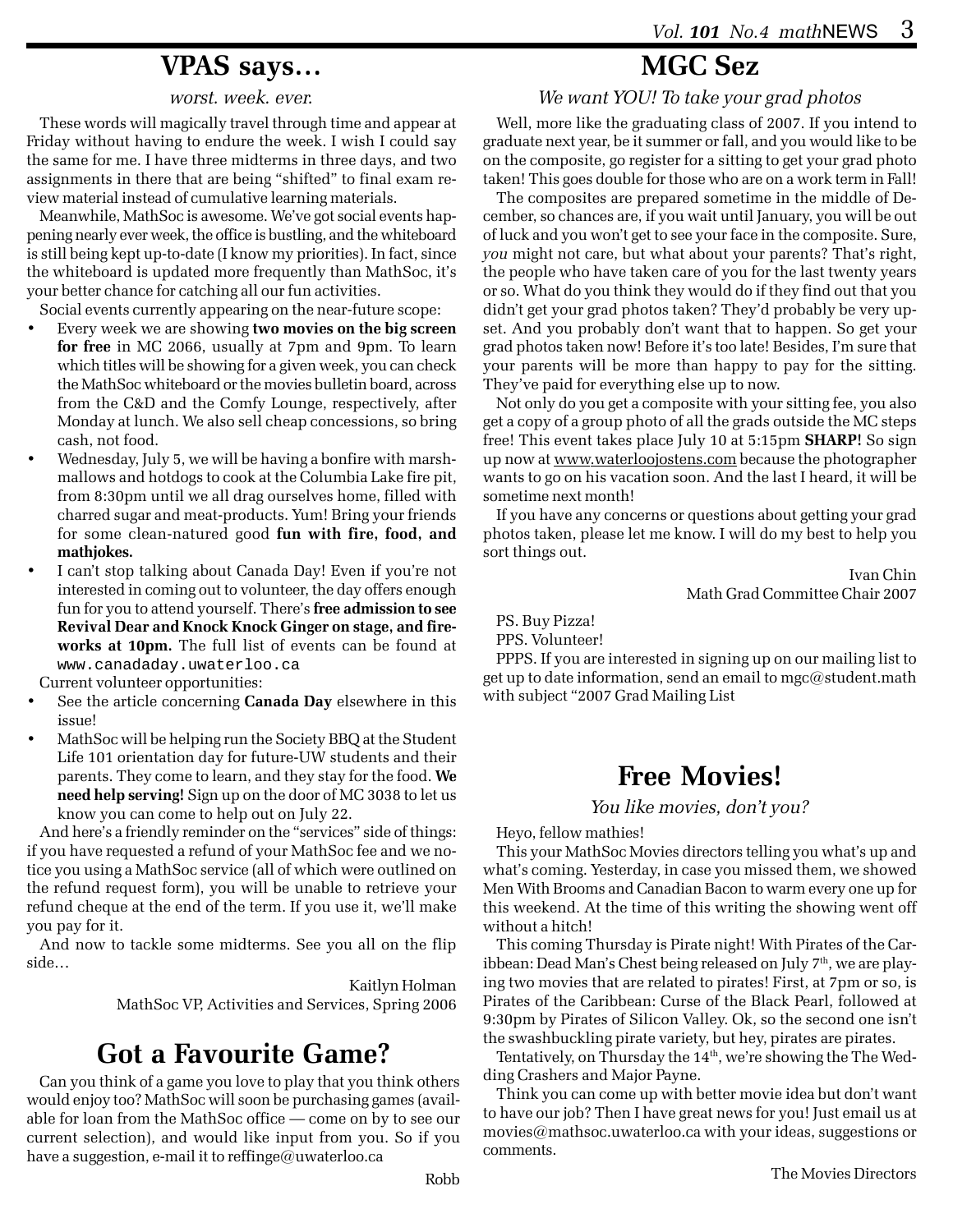### **VPAS says…**

#### *worst. week. ever.*

These words will magically travel through time and appear at Friday without having to endure the week. I wish I could say the same for me. I have three midterms in three days, and two assignments in there that are being "shifted" to final exam review material instead of cumulative learning materials.

Meanwhile, MathSoc is awesome. We've got social events happening nearly ever week, the office is bustling, and the whiteboard is still being kept up-to-date (I know my priorities). In fact, since the whiteboard is updated more frequently than MathSoc, it's your better chance for catching all our fun activities.

Social events currently appearing on the near-future scope:

- Every week we are showing **two movies on the big screen for free** in MC 2066, usually at 7pm and 9pm. To learn which titles will be showing for a given week, you can check the MathSoc whiteboard or the movies bulletin board, across from the C&D and the Comfy Lounge, respectively, after Monday at lunch. We also sell cheap concessions, so bring cash, not food.
- Wednesday, July 5, we will be having a bonfire with marshmallows and hotdogs to cook at the Columbia Lake fire pit, from 8:30pm until we all drag ourselves home, filled with charred sugar and meat-products. Yum! Bring your friends for some clean-natured good **fun with fire, food, and mathjokes.**
- I can't stop talking about Canada Day! Even if you're not interested in coming out to volunteer, the day offers enough fun for you to attend yourself. There's **free admission to see Revival Dear and Knock Knock Ginger on stage, and fireworks at 10pm.** The full list of events can be found at www.canadaday.uwaterloo.ca

Current volunteer opportunities:

- See the article concerning **Canada Day** elsewhere in this issue!
- MathSoc will be helping run the Society BBQ at the Student Life 101 orientation day for future-UW students and their parents. They come to learn, and they stay for the food. **We need help serving!** Sign up on the door of MC 3038 to let us know you can come to help out on July 22.

And here's a friendly reminder on the "services" side of things: if you have requested a refund of your MathSoc fee and we notice you using a MathSoc service (all of which were outlined on the refund request form), you will be unable to retrieve your refund cheque at the end of the term. If you use it, we'll make you pay for it.

And now to tackle some midterms. See you all on the flip side…

> Kaitlyn Holman MathSoc VP, Activities and Services, Spring 2006

# **Got a Favourite Game?**

Can you think of a game you love to play that you think others would enjoy too? MathSoc will soon be purchasing games (available for loan from the MathSoc office — come on by to see our current selection), and would like input from you. So if you have a suggestion, e-mail it to reffinge@uwaterloo.ca

# **MGC Sez**

*We want YOU! To take your grad photos*

Well, more like the graduating class of 2007. If you intend to graduate next year, be it summer or fall, and you would like to be on the composite, go register for a sitting to get your grad photo taken! This goes double for those who are on a work term in Fall!

The composites are prepared sometime in the middle of December, so chances are, if you wait until January, you will be out of luck and you won't get to see your face in the composite. Sure, *you* might not care, but what about your parents? That's right, the people who have taken care of you for the last twenty years or so. What do you think they would do if they find out that you didn't get your grad photos taken? They'd probably be very upset. And you probably don't want that to happen. So get your grad photos taken now! Before it's too late! Besides, I'm sure that your parents will be more than happy to pay for the sitting. They've paid for everything else up to now.

Not only do you get a composite with your sitting fee, you also get a copy of a group photo of all the grads outside the MC steps free! This event takes place July 10 at 5:15pm **SHARP!** So sign up now at www.waterloojostens.com because the photographer wants to go on his vacation soon. And the last I heard, it will be sometime next month!

If you have any concerns or questions about getting your grad photos taken, please let me know. I will do my best to help you sort things out.

> Ivan Chin Math Grad Committee Chair 2007

PS. Buy Pizza! PPS. Volunteer!

PPPS. If you are interested in signing up on our mailing list to get up to date information, send an email to mgc@student.math with subject "2007 Grad Mailing List

### **Free Movies!**

#### *You like movies, don't you?*

Heyo, fellow mathies!

This your MathSoc Movies directors telling you what's up and what's coming. Yesterday, in case you missed them, we showed Men With Brooms and Canadian Bacon to warm every one up for this weekend. At the time of this writing the showing went off without a hitch!

This coming Thursday is Pirate night! With Pirates of the Caribbean: Dead Man's Chest being released on July 7<sup>th</sup>, we are playing two movies that are related to pirates! First, at 7pm or so, is Pirates of the Caribbean: Curse of the Black Pearl, followed at 9:30pm by Pirates of Silicon Valley. Ok, so the second one isn't the swashbuckling pirate variety, but hey, pirates are pirates.

Tentatively, on Thursday the  $14<sup>th</sup>$ , we're showing the The Wedding Crashers and Major Payne.

Think you can come up with better movie idea but don't want to have our job? Then I have great news for you! Just email us at movies@mathsoc.uwaterloo.ca with your ideas, suggestions or comments.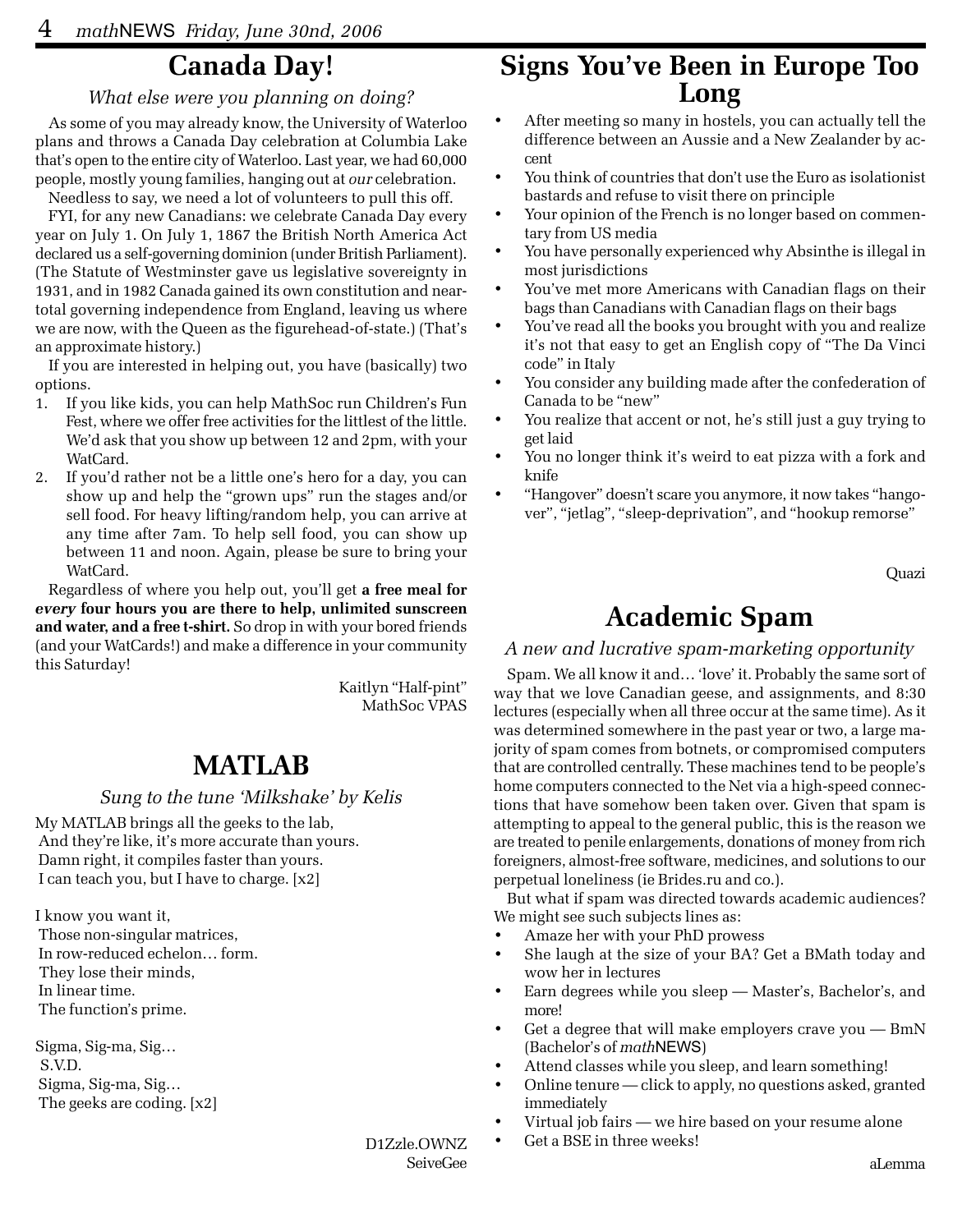### **Canada Day!**

### *What else were you planning on doing?*

As some of you may already know, the University of Waterloo plans and throws a Canada Day celebration at Columbia Lake that's open to the entire city of Waterloo. Last year, we had 60,000 people, mostly young families, hanging out at *our* celebration.

Needless to say, we need a lot of volunteers to pull this off. FYI, for any new Canadians: we celebrate Canada Day every year on July 1. On July 1, 1867 the British North America Act declared us a self-governing dominion (under British Parliament). (The Statute of Westminster gave us legislative sovereignty in 1931, and in 1982 Canada gained its own constitution and neartotal governing independence from England, leaving us where we are now, with the Queen as the figurehead-of-state.) (That's an approximate history.)

If you are interested in helping out, you have (basically) two options.

- 1. If you like kids, you can help MathSoc run Children's Fun Fest, where we offer free activities for the littlest of the little. We'd ask that you show up between 12 and 2pm, with your WatCard.
- 2. If you'd rather not be a little one's hero for a day, you can show up and help the "grown ups" run the stages and/or sell food. For heavy lifting/random help, you can arrive at any time after 7am. To help sell food, you can show up between 11 and noon. Again, please be sure to bring your WatCard.

Regardless of where you help out, you'll get **a free meal for** *every* **four hours you are there to help, unlimited sunscreen and water, and a free t-shirt.** So drop in with your bored friends (and your WatCards!) and make a difference in your community this Saturday!

> Kaitlyn "Half-pint" MathSoc VPAS

### **MATLAB**

### *Sung to the tune 'Milkshake' by Kelis*

My MATLAB brings all the geeks to the lab, And they're like, it's more accurate than yours. Damn right, it compiles faster than yours. I can teach you, but I have to charge. [x2]

I know you want it, Those non-singular matrices, In row-reduced echelon… form. They lose their minds, In linear time. The function's prime.

Sigma, Sig-ma, Sig… S.V.D. Sigma, Sig-ma, Sig… The geeks are coding. [x2]

### **Signs You've Been in Europe Too Long**

- After meeting so many in hostels, you can actually tell the difference between an Aussie and a New Zealander by accent
- You think of countries that don't use the Euro as isolationist bastards and refuse to visit there on principle
- Your opinion of the French is no longer based on commentary from US media
- You have personally experienced why Absinthe is illegal in most jurisdictions
- You've met more Americans with Canadian flags on their bags than Canadians with Canadian flags on their bags
- You've read all the books you brought with you and realize it's not that easy to get an English copy of "The Da Vinci code" in Italy
- You consider any building made after the confederation of Canada to be "new"
- You realize that accent or not, he's still just a guy trying to get laid
- You no longer think it's weird to eat pizza with a fork and knife
- "Hangover" doesn't scare you anymore, it now takes "hangover", "jetlag", "sleep-deprivation", and "hookup remorse"

Quazi

# **Academic Spam**

### *A new and lucrative spam-marketing opportunity*

Spam. We all know it and… 'love' it. Probably the same sort of way that we love Canadian geese, and assignments, and 8:30 lectures (especially when all three occur at the same time). As it was determined somewhere in the past year or two, a large majority of spam comes from botnets, or compromised computers that are controlled centrally. These machines tend to be people's home computers connected to the Net via a high-speed connections that have somehow been taken over. Given that spam is attempting to appeal to the general public, this is the reason we are treated to penile enlargements, donations of money from rich foreigners, almost-free software, medicines, and solutions to our perpetual loneliness (ie Brides.ru and co.).

But what if spam was directed towards academic audiences? We might see such subjects lines as:

- Amaze her with your PhD prowess
- She laugh at the size of your BA? Get a BMath today and wow her in lectures
- Earn degrees while you sleep Master's, Bachelor's, and more!
- Get a degree that will make employers crave you BmN (Bachelor's of *math*NEWS)
- Attend classes while you sleep, and learn something!
- Online tenure click to apply, no questions asked, granted immediately
- Virtual job fairs we hire based on your resume alone
- Get a BSE in three weeks!

D1Zzle.OWNZ SeiveGee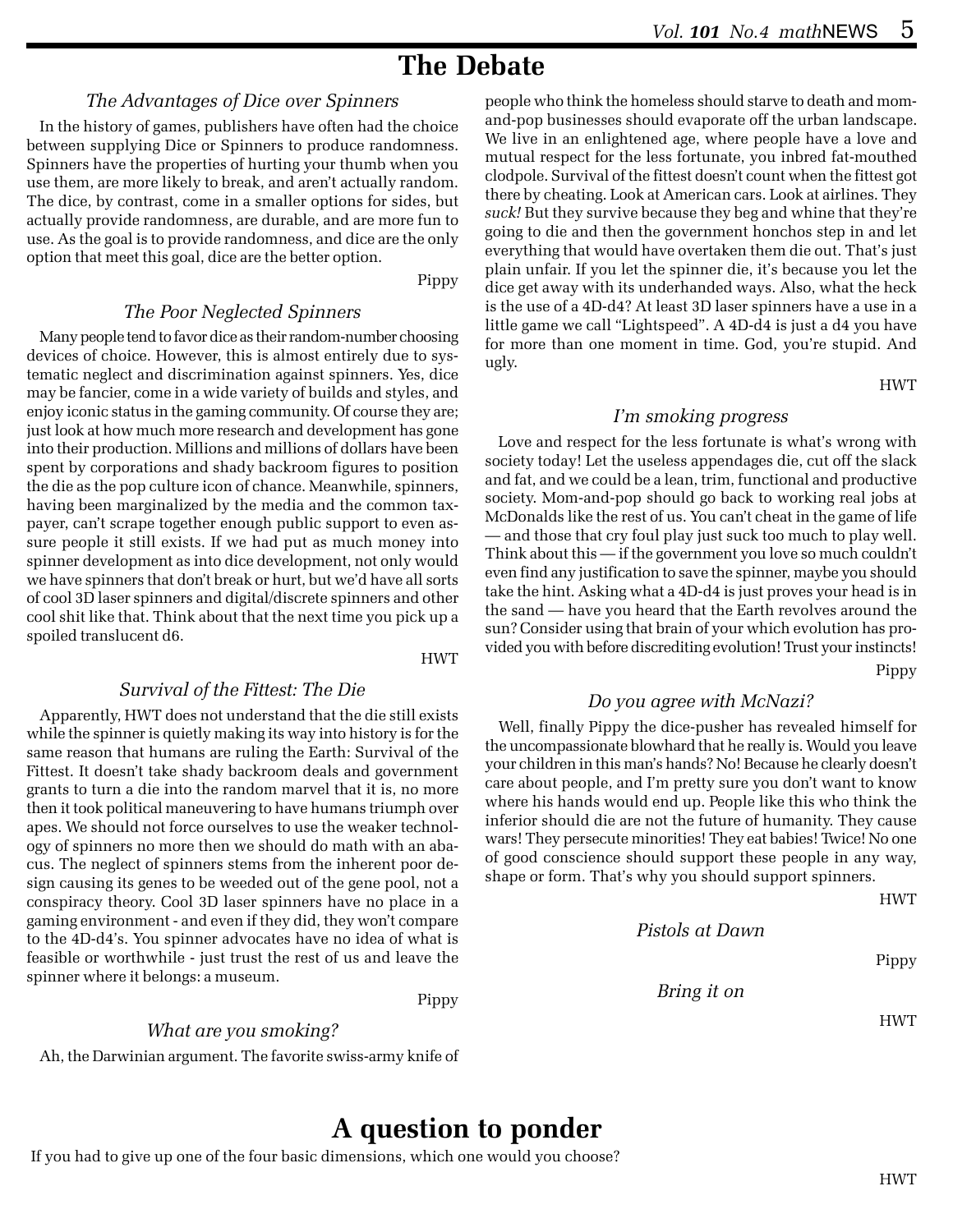# **The Debate**

### *The Advantages of Dice over Spinners*

In the history of games, publishers have often had the choice between supplying Dice or Spinners to produce randomness. Spinners have the properties of hurting your thumb when you use them, are more likely to break, and aren't actually random. The dice, by contrast, come in a smaller options for sides, but actually provide randomness, are durable, and are more fun to use. As the goal is to provide randomness, and dice are the only option that meet this goal, dice are the better option.

#### Pippy

### *The Poor Neglected Spinners*

Many people tend to favor dice as their random-number choosing devices of choice. However, this is almost entirely due to systematic neglect and discrimination against spinners. Yes, dice may be fancier, come in a wide variety of builds and styles, and enjoy iconic status in the gaming community. Of course they are; just look at how much more research and development has gone into their production. Millions and millions of dollars have been spent by corporations and shady backroom figures to position the die as the pop culture icon of chance. Meanwhile, spinners, having been marginalized by the media and the common taxpayer, can't scrape together enough public support to even assure people it still exists. If we had put as much money into spinner development as into dice development, not only would we have spinners that don't break or hurt, but we'd have all sorts of cool 3D laser spinners and digital/discrete spinners and other cool shit like that. Think about that the next time you pick up a spoiled translucent d6.

HWT

#### *Survival of the Fittest: The Die*

Apparently, HWT does not understand that the die still exists while the spinner is quietly making its way into history is for the same reason that humans are ruling the Earth: Survival of the Fittest. It doesn't take shady backroom deals and government grants to turn a die into the random marvel that it is, no more then it took political maneuvering to have humans triumph over apes. We should not force ourselves to use the weaker technology of spinners no more then we should do math with an abacus. The neglect of spinners stems from the inherent poor design causing its genes to be weeded out of the gene pool, not a conspiracy theory. Cool 3D laser spinners have no place in a gaming environment - and even if they did, they won't compare to the 4D-d4's. You spinner advocates have no idea of what is feasible or worthwhile - just trust the rest of us and leave the spinner where it belongs: a museum.

Pippy

*What are you smoking?* Ah, the Darwinian argument. The favorite swiss-army knife of

#### people who think the homeless should starve to death and momand-pop businesses should evaporate off the urban landscape. We live in an enlightened age, where people have a love and mutual respect for the less fortunate, you inbred fat-mouthed clodpole. Survival of the fittest doesn't count when the fittest got there by cheating. Look at American cars. Look at airlines. They *suck!* But they survive because they beg and whine that they're going to die and then the government honchos step in and let everything that would have overtaken them die out. That's just plain unfair. If you let the spinner die, it's because you let the dice get away with its underhanded ways. Also, what the heck is the use of a 4D-d4? At least 3D laser spinners have a use in a little game we call "Lightspeed". A 4D-d4 is just a d4 you have for more than one moment in time. God, you're stupid. And ugly.

#### HWT

#### *I'm smoking progress*

Love and respect for the less fortunate is what's wrong with society today! Let the useless appendages die, cut off the slack and fat, and we could be a lean, trim, functional and productive society. Mom-and-pop should go back to working real jobs at McDonalds like the rest of us. You can't cheat in the game of life — and those that cry foul play just suck too much to play well. Think about this — if the government you love so much couldn't even find any justification to save the spinner, maybe you should take the hint. Asking what a 4D-d4 is just proves your head is in the sand — have you heard that the Earth revolves around the sun? Consider using that brain of your which evolution has provided you with before discrediting evolution! Trust your instincts! Pippy

#### *Do you agree with McNazi?*

Well, finally Pippy the dice-pusher has revealed himself for the uncompassionate blowhard that he really is. Would you leave your children in this man's hands? No! Because he clearly doesn't care about people, and I'm pretty sure you don't want to know where his hands would end up. People like this who think the inferior should die are not the future of humanity. They cause wars! They persecute minorities! They eat babies! Twice! No one of good conscience should support these people in any way, shape or form. That's why you should support spinners.

*Pistols at Dawn*

Pippy

HWT

*Bring it on*

HWT

### **A question to ponder**

If you had to give up one of the four basic dimensions, which one would you choose?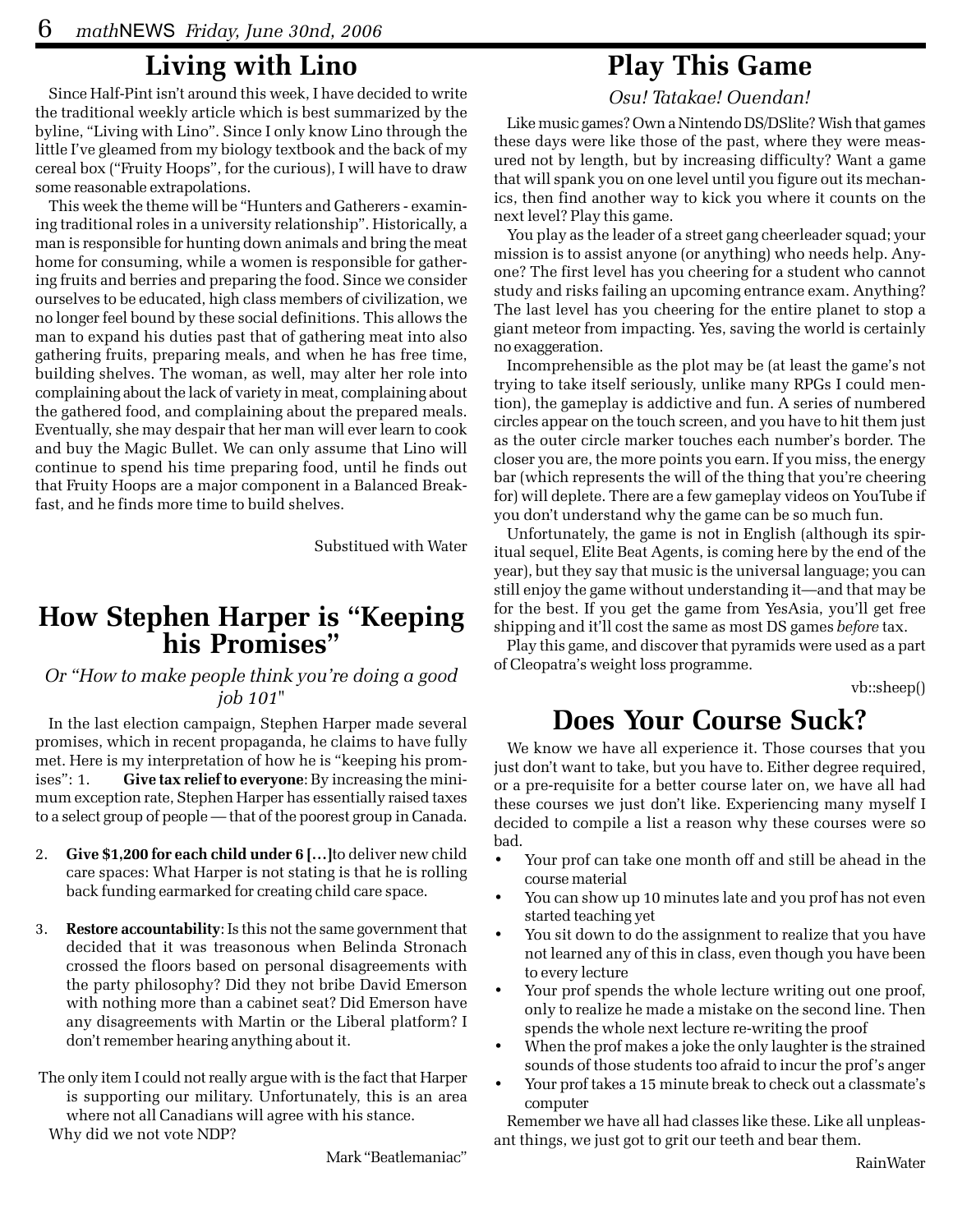### **Living with Lino**

Since Half-Pint isn't around this week, I have decided to write the traditional weekly article which is best summarized by the byline, "Living with Lino". Since I only know Lino through the little I've gleamed from my biology textbook and the back of my cereal box ("Fruity Hoops", for the curious), I will have to draw some reasonable extrapolations.

This week the theme will be "Hunters and Gatherers - examining traditional roles in a university relationship". Historically, a man is responsible for hunting down animals and bring the meat home for consuming, while a women is responsible for gathering fruits and berries and preparing the food. Since we consider ourselves to be educated, high class members of civilization, we no longer feel bound by these social definitions. This allows the man to expand his duties past that of gathering meat into also gathering fruits, preparing meals, and when he has free time, building shelves. The woman, as well, may alter her role into complaining about the lack of variety in meat, complaining about the gathered food, and complaining about the prepared meals. Eventually, she may despair that her man will ever learn to cook and buy the Magic Bullet. We can only assume that Lino will continue to spend his time preparing food, until he finds out that Fruity Hoops are a major component in a Balanced Breakfast, and he finds more time to build shelves.

Substitued with Water

# **How Stephen Harper is "Keeping his Promises"**

### *Or "How to make people think you're doing a good job 101"*

In the last election campaign, Stephen Harper made several promises, which in recent propaganda, he claims to have fully met. Here is my interpretation of how he is "keeping his promises": 1. **Give tax relief to everyone**: By increasing the minimum exception rate, Stephen Harper has essentially raised taxes to a select group of people — that of the poorest group in Canada.

- 2. **Give \$1,200 for each child under 6 […]**to deliver new child care spaces: What Harper is not stating is that he is rolling back funding earmarked for creating child care space.
- 3. **Restore accountability**: Is this not the same government that decided that it was treasonous when Belinda Stronach crossed the floors based on personal disagreements with the party philosophy? Did they not bribe David Emerson with nothing more than a cabinet seat? Did Emerson have any disagreements with Martin or the Liberal platform? I don't remember hearing anything about it.
- The only item I could not really argue with is the fact that Harper is supporting our military. Unfortunately, this is an area where not all Canadians will agree with his stance. Why did we not vote NDP?

Mark "Beatlemaniac"

### **Play This Game**

*Osu! Tatakae! Ouendan!*

Like music games? Own a Nintendo DS/DSlite? Wish that games these days were like those of the past, where they were measured not by length, but by increasing difficulty? Want a game that will spank you on one level until you figure out its mechanics, then find another way to kick you where it counts on the next level? Play this game.

You play as the leader of a street gang cheerleader squad; your mission is to assist anyone (or anything) who needs help. Anyone? The first level has you cheering for a student who cannot study and risks failing an upcoming entrance exam. Anything? The last level has you cheering for the entire planet to stop a giant meteor from impacting. Yes, saving the world is certainly no exaggeration.

Incomprehensible as the plot may be (at least the game's not trying to take itself seriously, unlike many RPGs I could mention), the gameplay is addictive and fun. A series of numbered circles appear on the touch screen, and you have to hit them just as the outer circle marker touches each number's border. The closer you are, the more points you earn. If you miss, the energy bar (which represents the will of the thing that you're cheering for) will deplete. There are a few gameplay videos on YouTube if you don't understand why the game can be so much fun.

Unfortunately, the game is not in English (although its spiritual sequel, Elite Beat Agents, is coming here by the end of the year), but they say that music is the universal language; you can still enjoy the game without understanding it—and that may be for the best. If you get the game from YesAsia, you'll get free shipping and it'll cost the same as most DS games *before* tax.

Play this game, and discover that pyramids were used as a part of Cleopatra's weight loss programme.

vb::sheep()

# **Does Your Course Suck?**

We know we have all experience it. Those courses that you just don't want to take, but you have to. Either degree required, or a pre-requisite for a better course later on, we have all had these courses we just don't like. Experiencing many myself I decided to compile a list a reason why these courses were so bad.

- Your prof can take one month off and still be ahead in the course material
- You can show up 10 minutes late and you prof has not even started teaching yet
- You sit down to do the assignment to realize that you have not learned any of this in class, even though you have been to every lecture
- Your prof spends the whole lecture writing out one proof, only to realize he made a mistake on the second line. Then spends the whole next lecture re-writing the proof
- When the prof makes a joke the only laughter is the strained sounds of those students too afraid to incur the prof's anger
- Your prof takes a 15 minute break to check out a classmate's computer

Remember we have all had classes like these. Like all unpleasant things, we just got to grit our teeth and bear them.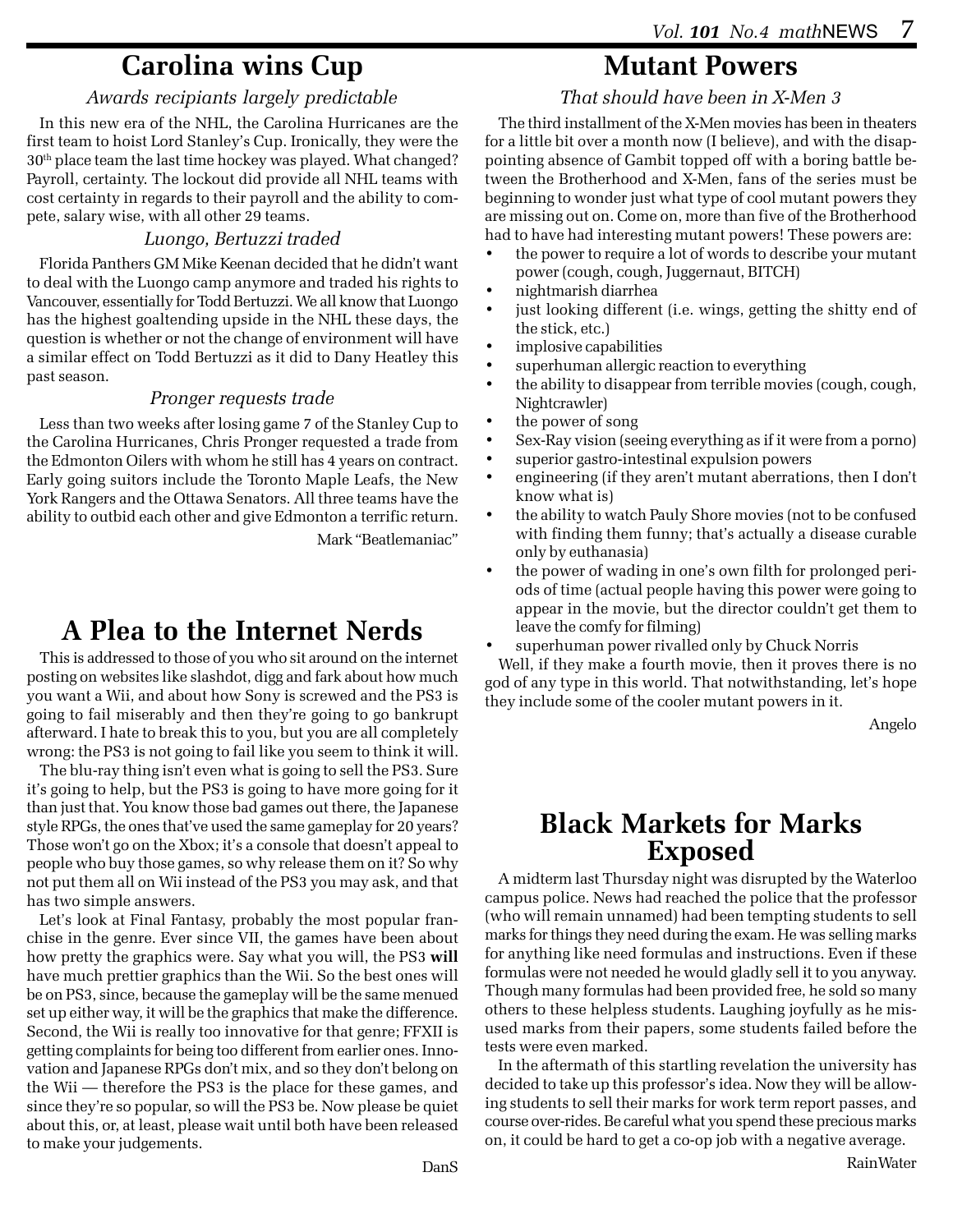### **Carolina wins Cup**

### *Awards recipiants largely predictable*

In this new era of the NHL, the Carolina Hurricanes are the first team to hoist Lord Stanley's Cup. Ironically, they were the 30<sup>th</sup> place team the last time hockey was played. What changed? Payroll, certainty. The lockout did provide all NHL teams with cost certainty in regards to their payroll and the ability to compete, salary wise, with all other 29 teams.

#### *Luongo, Bertuzzi traded*

Florida Panthers GM Mike Keenan decided that he didn't want to deal with the Luongo camp anymore and traded his rights to Vancouver, essentially for Todd Bertuzzi. We all know that Luongo has the highest goaltending upside in the NHL these days, the question is whether or not the change of environment will have a similar effect on Todd Bertuzzi as it did to Dany Heatley this past season.

#### *Pronger requests trade*

Less than two weeks after losing game 7 of the Stanley Cup to the Carolina Hurricanes, Chris Pronger requested a trade from the Edmonton Oilers with whom he still has 4 years on contract. Early going suitors include the Toronto Maple Leafs, the New York Rangers and the Ottawa Senators. All three teams have the ability to outbid each other and give Edmonton a terrific return. Mark "Beatlemaniac"

# **A Plea to the Internet Nerds**

This is addressed to those of you who sit around on the internet posting on websites like slashdot, digg and fark about how much you want a Wii, and about how Sony is screwed and the PS3 is going to fail miserably and then they're going to go bankrupt afterward. I hate to break this to you, but you are all completely wrong: the PS3 is not going to fail like you seem to think it will.

The blu-ray thing isn't even what is going to sell the PS3. Sure it's going to help, but the PS3 is going to have more going for it than just that. You know those bad games out there, the Japanese style RPGs, the ones that've used the same gameplay for 20 years? Those won't go on the Xbox; it's a console that doesn't appeal to people who buy those games, so why release them on it? So why not put them all on Wii instead of the PS3 you may ask, and that has two simple answers.

Let's look at Final Fantasy, probably the most popular franchise in the genre. Ever since VII, the games have been about how pretty the graphics were. Say what you will, the PS3 **will** have much prettier graphics than the Wii. So the best ones will be on PS3, since, because the gameplay will be the same menued set up either way, it will be the graphics that make the difference. Second, the Wii is really too innovative for that genre; FFXII is getting complaints for being too different from earlier ones. Innovation and Japanese RPGs don't mix, and so they don't belong on the Wii — therefore the PS3 is the place for these games, and since they're so popular, so will the PS3 be. Now please be quiet about this, or, at least, please wait until both have been released to make your judgements.

# **Mutant Powers**

### *That should have been in X-Men 3*

The third installment of the X-Men movies has been in theaters for a little bit over a month now (I believe), and with the disappointing absence of Gambit topped off with a boring battle between the Brotherhood and X-Men, fans of the series must be beginning to wonder just what type of cool mutant powers they are missing out on. Come on, more than five of the Brotherhood had to have had interesting mutant powers! These powers are:

- the power to require a lot of words to describe your mutant power (cough, cough, Juggernaut, BITCH)
- nightmarish diarrhea
- just looking different (i.e. wings, getting the shitty end of the stick, etc.)
- implosive capabilities
- superhuman allergic reaction to everything
- the ability to disappear from terrible movies (cough, cough, Nightcrawler)
- the power of song
- Sex-Ray vision (seeing everything as if it were from a porno)
- superior gastro-intestinal expulsion powers
- engineering (if they aren't mutant aberrations, then I don't know what is)
- the ability to watch Pauly Shore movies (not to be confused with finding them funny; that's actually a disease curable only by euthanasia)
- the power of wading in one's own filth for prolonged periods of time (actual people having this power were going to appear in the movie, but the director couldn't get them to leave the comfy for filming)
- superhuman power rivalled only by Chuck Norris

Well, if they make a fourth movie, then it proves there is no god of any type in this world. That notwithstanding, let's hope they include some of the cooler mutant powers in it.

Angelo

### **Black Markets for Marks Exposed**

A midterm last Thursday night was disrupted by the Waterloo campus police. News had reached the police that the professor (who will remain unnamed) had been tempting students to sell marks for things they need during the exam. He was selling marks for anything like need formulas and instructions. Even if these formulas were not needed he would gladly sell it to you anyway. Though many formulas had been provided free, he sold so many others to these helpless students. Laughing joyfully as he misused marks from their papers, some students failed before the tests were even marked.

In the aftermath of this startling revelation the university has decided to take up this professor's idea. Now they will be allowing students to sell their marks for work term report passes, and course over-rides. Be careful what you spend these precious marks on, it could be hard to get a co-op job with a negative average.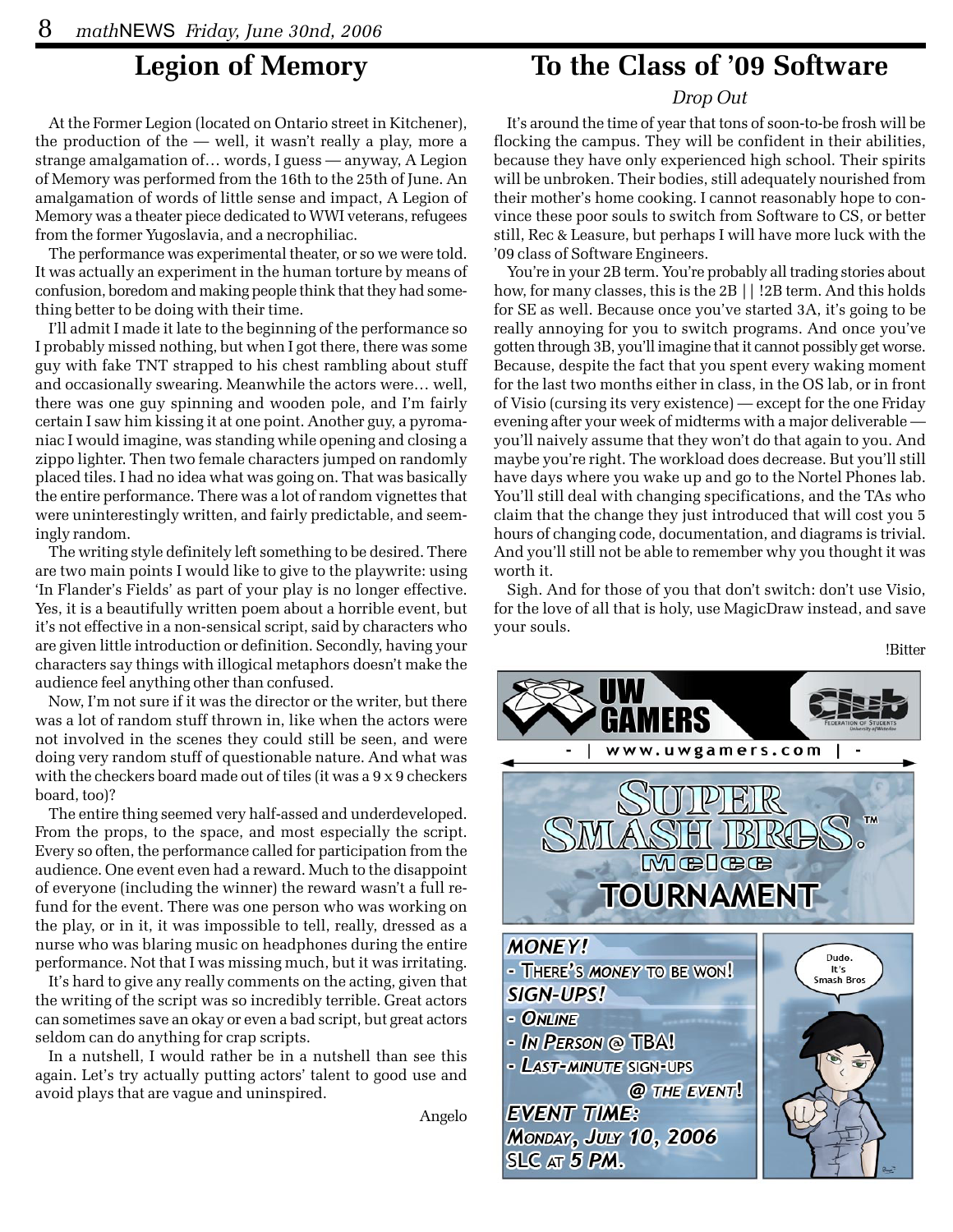### **Legion of Memory**

At the Former Legion (located on Ontario street in Kitchener), the production of the — well, it wasn't really a play, more a strange amalgamation of… words, I guess — anyway, A Legion of Memory was performed from the 16th to the 25th of June. An amalgamation of words of little sense and impact, A Legion of Memory was a theater piece dedicated to WWI veterans, refugees from the former Yugoslavia, and a necrophiliac.

The performance was experimental theater, or so we were told. It was actually an experiment in the human torture by means of confusion, boredom and making people think that they had something better to be doing with their time.

I'll admit I made it late to the beginning of the performance so I probably missed nothing, but when I got there, there was some guy with fake TNT strapped to his chest rambling about stuff and occasionally swearing. Meanwhile the actors were… well, there was one guy spinning and wooden pole, and I'm fairly certain I saw him kissing it at one point. Another guy, a pyromaniac I would imagine, was standing while opening and closing a zippo lighter. Then two female characters jumped on randomly placed tiles. I had no idea what was going on. That was basically the entire performance. There was a lot of random vignettes that were uninterestingly written, and fairly predictable, and seemingly random.

The writing style definitely left something to be desired. There are two main points I would like to give to the playwrite: using 'In Flander's Fields' as part of your play is no longer effective. Yes, it is a beautifully written poem about a horrible event, but it's not effective in a non-sensical script, said by characters who are given little introduction or definition. Secondly, having your characters say things with illogical metaphors doesn't make the audience feel anything other than confused.

Now, I'm not sure if it was the director or the writer, but there was a lot of random stuff thrown in, like when the actors were not involved in the scenes they could still be seen, and were doing very random stuff of questionable nature. And what was with the checkers board made out of tiles (it was a 9 x 9 checkers board, too)?

The entire thing seemed very half-assed and underdeveloped. From the props, to the space, and most especially the script. Every so often, the performance called for participation from the audience. One event even had a reward. Much to the disappoint of everyone (including the winner) the reward wasn't a full refund for the event. There was one person who was working on the play, or in it, it was impossible to tell, really, dressed as a nurse who was blaring music on headphones during the entire performance. Not that I was missing much, but it was irritating.

It's hard to give any really comments on the acting, given that the writing of the script was so incredibly terrible. Great actors can sometimes save an okay or even a bad script, but great actors seldom can do anything for crap scripts.

In a nutshell, I would rather be in a nutshell than see this again. Let's try actually putting actors' talent to good use and avoid plays that are vague and uninspired.

Angelo

### **To the Class of '09 Software**

#### *Drop Out*

It's around the time of year that tons of soon-to-be frosh will be flocking the campus. They will be confident in their abilities, because they have only experienced high school. Their spirits will be unbroken. Their bodies, still adequately nourished from their mother's home cooking. I cannot reasonably hope to convince these poor souls to switch from Software to CS, or better still, Rec & Leasure, but perhaps I will have more luck with the '09 class of Software Engineers.

You're in your 2B term. You're probably all trading stories about how, for many classes, this is the 2B || !2B term. And this holds for SE as well. Because once you've started 3A, it's going to be really annoying for you to switch programs. And once you've gotten through 3B, you'll imagine that it cannot possibly get worse. Because, despite the fact that you spent every waking moment for the last two months either in class, in the OS lab, or in front of Visio (cursing its very existence) — except for the one Friday evening after your week of midterms with a major deliverable you'll naively assume that they won't do that again to you. And maybe you're right. The workload does decrease. But you'll still have days where you wake up and go to the Nortel Phones lab. You'll still deal with changing specifications, and the TAs who claim that the change they just introduced that will cost you 5 hours of changing code, documentation, and diagrams is trivial. And you'll still not be able to remember why you thought it was worth it.

Sigh. And for those of you that don't switch: don't use Visio, for the love of all that is holy, use MagicDraw instead, and save your souls.

!Bitter

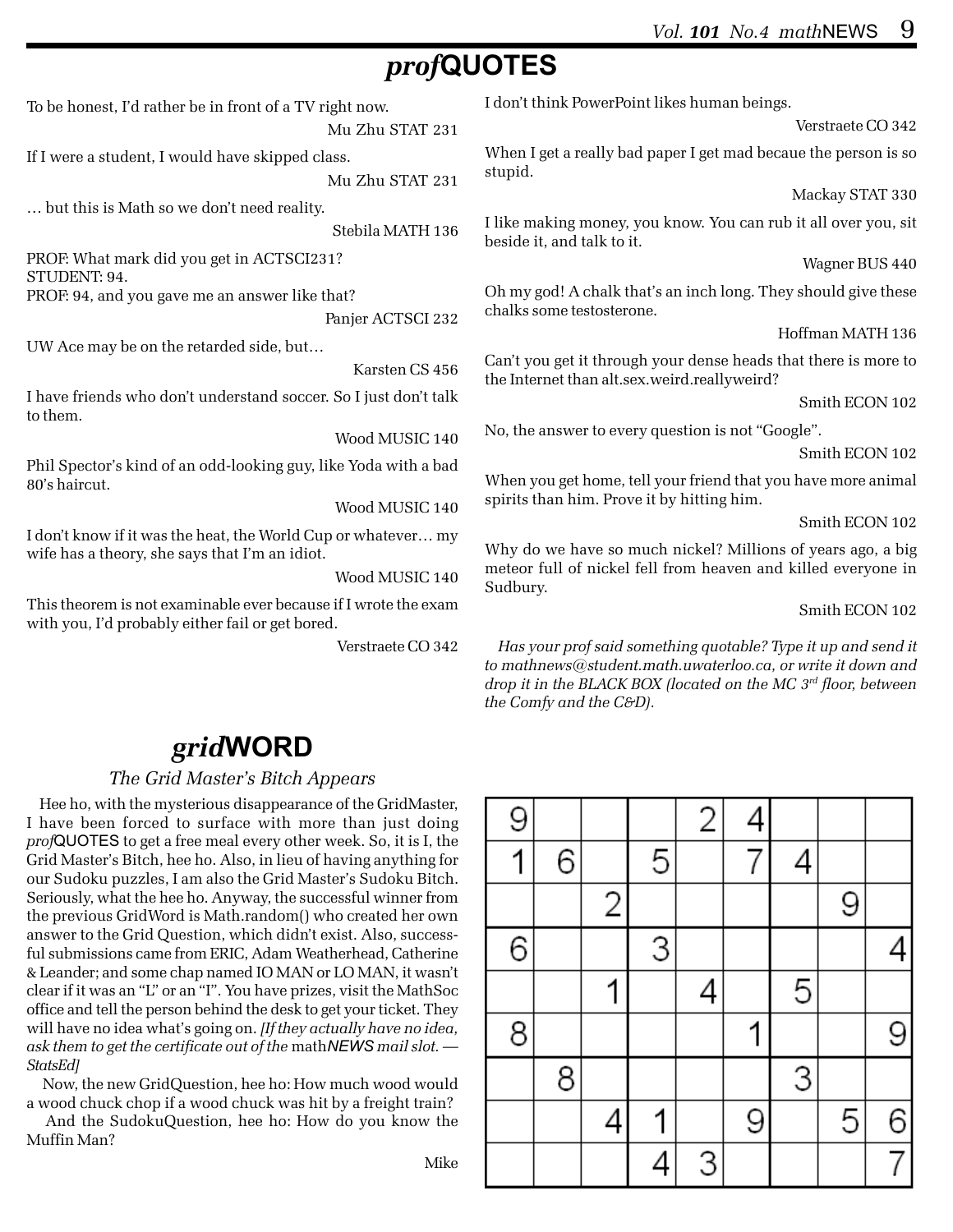# *prof***QUOTES**

To be honest, I'd rather be in front of a TV right now.

Mu Zhu STAT 231

If I were a student, I would have skipped class.

Mu Zhu STAT 231

… but this is Math so we don't need reality.

Stebila MATH 136

PROF: What mark did you get in ACTSCI231? STUDENT: 94.

PROF: 94, and you gave me an answer like that?

Panjer ACTSCI 232

UW Ace may be on the retarded side, but…

Karsten CS 456

I have friends who don't understand soccer. So I just don't talk to them.

Wood MUSIC 140

Phil Spector's kind of an odd-looking guy, like Yoda with a bad 80's haircut.

Wood MUSIC 140

I don't know if it was the heat, the World Cup or whatever… my wife has a theory, she says that I'm an idiot.

Wood MUSIC 140

This theorem is not examinable ever because if I wrote the exam with you, I'd probably either fail or get bored.

Verstraete CO 342

### *grid***WORD**

#### *The Grid Master's Bitch Appears*

Hee ho, with the mysterious disappearance of the GridMaster, I have been forced to surface with more than just doing *prof*QUOTES to get a free meal every other week. So, it is I, the Grid Master's Bitch, hee ho. Also, in lieu of having anything for our Sudoku puzzles, I am also the Grid Master's Sudoku Bitch. Seriously, what the hee ho. Anyway, the successful winner from the previous GridWord is Math.random() who created her own answer to the Grid Question, which didn't exist. Also, successful submissions came from ERIC, Adam Weatherhead, Catherine & Leander; and some chap named IO MAN or LO MAN, it wasn't clear if it was an "L" or an "I". You have prizes, visit the MathSoc office and tell the person behind the desk to get your ticket. They will have no idea what's going on. *[If they actually have no idea, ask them to get the certificate out of the* math*NEWS mail slot. — StatsEd]*

 Now, the new GridQuestion, hee ho: How much wood would a wood chuck chop if a wood chuck was hit by a freight train?

 And the SudokuQuestion, hee ho: How do you know the Muffin Man?

I don't think PowerPoint likes human beings.

Verstraete CO 342

When I get a really bad paper I get mad becaue the person is so stupid.

Mackay STAT 330

I like making money, you know. You can rub it all over you, sit beside it, and talk to it.

Wagner BUS 440

Oh my god! A chalk that's an inch long. They should give these chalks some testosterone.

#### Hoffman MATH 136

Can't you get it through your dense heads that there is more to the Internet than alt.sex.weird.reallyweird?

Smith ECON 102

No, the answer to every question is not "Google".

Smith ECON 102

When you get home, tell your friend that you have more animal spirits than him. Prove it by hitting him.

Smith ECON 102

Why do we have so much nickel? Millions of years ago, a big meteor full of nickel fell from heaven and killed everyone in Sudbury.

#### Smith ECON 102

*Has your prof said something quotable? Type it up and send it to mathnews@student.math.uwaterloo.ca, or write it down and drop it in the BLACK BOX (located on the MC 3rd floor, between the Comfy and the C&D).*



Mike